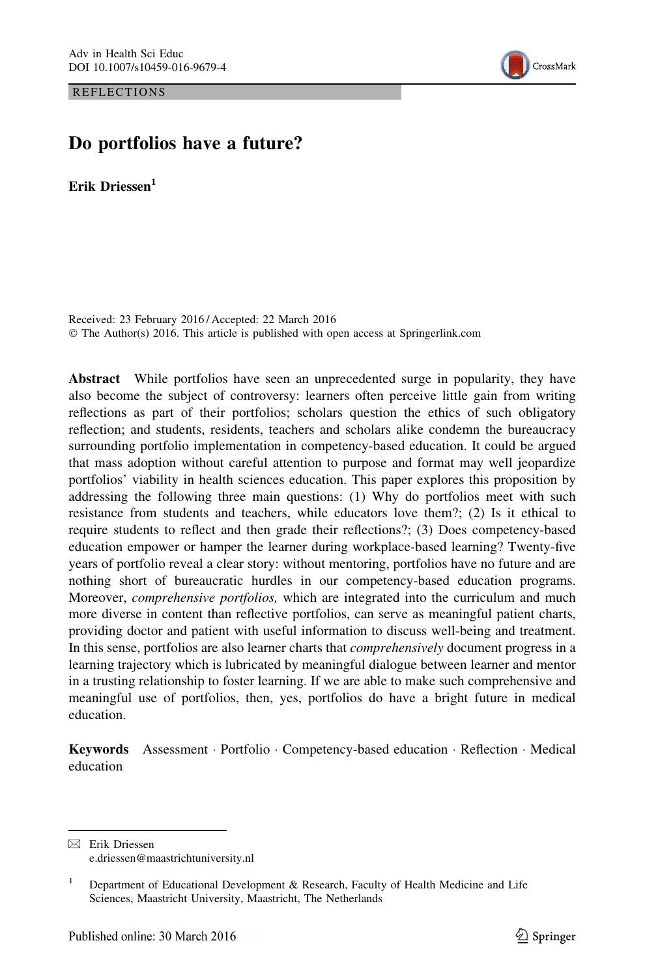**REFLECTIONS** 



# Do portfolios have a future?

Erik Driessen<sup>1</sup>

Received: 23 February 2016 / Accepted: 22 March 2016 © The Author(s) 2016. This article is published with open access at Springerlink.com

Abstract While portfolios have seen an unprecedented surge in popularity, they have also become the subject of controversy: learners often perceive little gain from writing reflections as part of their portfolios; scholars question the ethics of such obligatory reflection; and students, residents, teachers and scholars alike condemn the bureaucracy surrounding portfolio implementation in competency-based education. It could be argued that mass adoption without careful attention to purpose and format may well jeopardize portfolios' viability in health sciences education. This paper explores this proposition by addressing the following three main questions: (1) Why do portfolios meet with such resistance from students and teachers, while educators love them?; (2) Is it ethical to require students to reflect and then grade their reflections?; (3) Does competency-based education empower or hamper the learner during workplace-based learning? Twenty-five years of portfolio reveal a clear story: without mentoring, portfolios have no future and are nothing short of bureaucratic hurdles in our competency-based education programs. Moreover, *comprehensive portfolios*, which are integrated into the curriculum and much more diverse in content than reflective portfolios, can serve as meaningful patient charts, providing doctor and patient with useful information to discuss well-being and treatment. In this sense, portfolios are also learner charts that comprehensively document progress in a learning trajectory which is lubricated by meaningful dialogue between learner and mentor in a trusting relationship to foster learning. If we are able to make such comprehensive and meaningful use of portfolios, then, yes, portfolios do have a bright future in medical education.

Keywords Assessment · Portfolio · Competency-based education · Reflection · Medical education

 $\boxtimes$  Erik Driessen e.driessen@maastrichtuniversity.nl

<sup>&</sup>lt;sup>1</sup> Department of Educational Development & Research, Faculty of Health Medicine and Life Sciences, Maastricht University, Maastricht, The Netherlands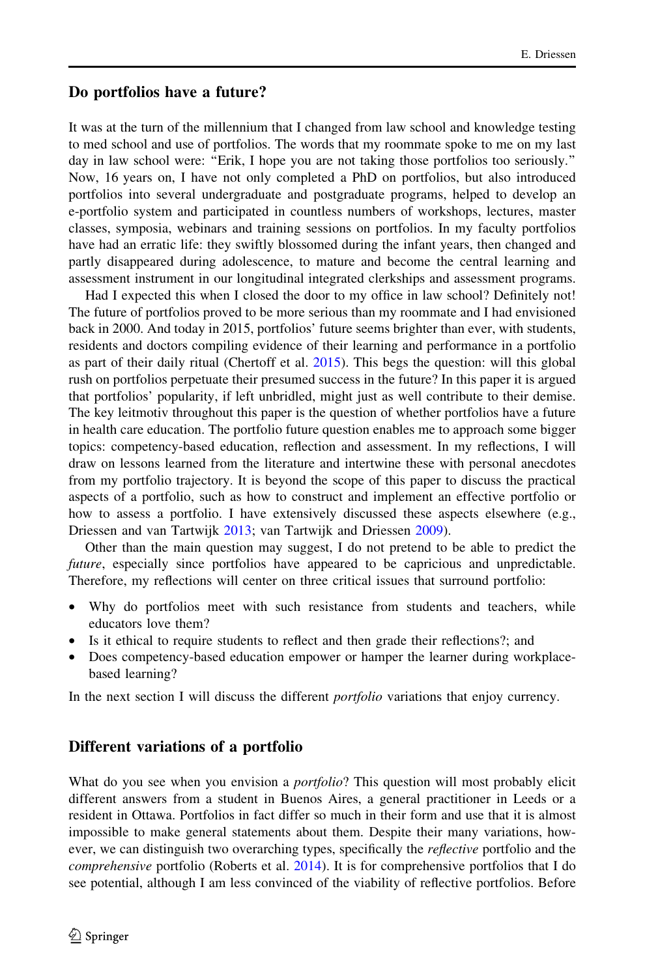### Do portfolios have a future?

It was at the turn of the millennium that I changed from law school and knowledge testing to med school and use of portfolios. The words that my roommate spoke to me on my last day in law school were: "Erik, I hope you are not taking those portfolios too seriously." Now, 16 years on, I have not only completed a PhD on portfolios, but also introduced portfolios into several undergraduate and postgraduate programs, helped to develop an e-portfolio system and participated in countless numbers of workshops, lectures, master classes, symposia, webinars and training sessions on portfolios. In my faculty portfolios have had an erratic life: they swiftly blossomed during the infant years, then changed and partly disappeared during adolescence, to mature and become the central learning and assessment instrument in our longitudinal integrated clerkships and assessment programs.

Had I expected this when I closed the door to my office in law school? Definitely not! The future of portfolios proved to be more serious than my roommate and I had envisioned back in 2000. And today in 2015, portfolios' future seems brighter than ever, with students, residents and doctors compiling evidence of their learning and performance in a portfolio as part of their daily ritual (Chertoff et al. [2015](#page-6-0)). This begs the question: will this global rush on portfolios perpetuate their presumed success in the future? In this paper it is argued that portfolios' popularity, if left unbridled, might just as well contribute to their demise. The key leitmotiv throughout this paper is the question of whether portfolios have a future in health care education. The portfolio future question enables me to approach some bigger topics: competency-based education, reflection and assessment. In my reflections, I will draw on lessons learned from the literature and intertwine these with personal anecdotes from my portfolio trajectory. It is beyond the scope of this paper to discuss the practical aspects of a portfolio, such as how to construct and implement an effective portfolio or how to assess a portfolio. I have extensively discussed these aspects elsewhere (e.g., Driessen and van Tartwijk [2013;](#page-6-0) van Tartwijk and Driessen [2009](#page-7-0)).

Other than the main question may suggest, I do not pretend to be able to predict the future, especially since portfolios have appeared to be capricious and unpredictable. Therefore, my reflections will center on three critical issues that surround portfolio:

- Why do portfolios meet with such resistance from students and teachers, while educators love them?
- Is it ethical to require students to reflect and then grade their reflections?; and
- Does competency-based education empower or hamper the learner during workplacebased learning?

In the next section I will discuss the different *portfolio* variations that enjoy currency.

### Different variations of a portfolio

What do you see when you envision a *portfolio*? This question will most probably elicit different answers from a student in Buenos Aires, a general practitioner in Leeds or a resident in Ottawa. Portfolios in fact differ so much in their form and use that it is almost impossible to make general statements about them. Despite their many variations, however, we can distinguish two overarching types, specifically the *reflective* portfolio and the comprehensive portfolio (Roberts et al. [2014](#page-6-0)). It is for comprehensive portfolios that I do see potential, although I am less convinced of the viability of reflective portfolios. Before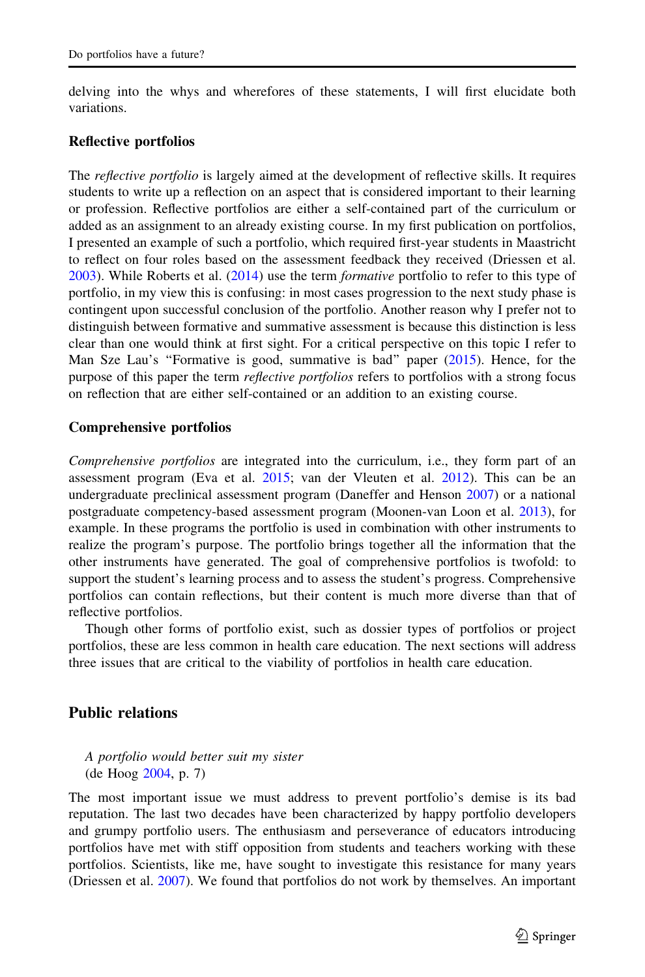delving into the whys and wherefores of these statements, I will first elucidate both variations.

#### Reflective portfolios

The *reflective portfolio* is largely aimed at the development of reflective skills. It requires students to write up a reflection on an aspect that is considered important to their learning or profession. Reflective portfolios are either a self-contained part of the curriculum or added as an assignment to an already existing course. In my first publication on portfolios, I presented an example of such a portfolio, which required first-year students in Maastricht to reflect on four roles based on the assessment feedback they received (Driessen et al. [2003\)](#page-6-0). While Roberts et al. [\(2014](#page-6-0)) use the term formative portfolio to refer to this type of portfolio, in my view this is confusing: in most cases progression to the next study phase is contingent upon successful conclusion of the portfolio. Another reason why I prefer not to distinguish between formative and summative assessment is because this distinction is less clear than one would think at first sight. For a critical perspective on this topic I refer to Man Sze Lau's ''Formative is good, summative is bad'' paper ([2015\)](#page-6-0). Hence, for the purpose of this paper the term *reflective portfolios* refers to portfolios with a strong focus on reflection that are either self-contained or an addition to an existing course.

### Comprehensive portfolios

Comprehensive portfolios are integrated into the curriculum, i.e., they form part of an assessment program (Eva et al. [2015;](#page-6-0) van der Vleuten et al. [2012](#page-7-0)). This can be an undergraduate preclinical assessment program (Daneffer and Henson [2007\)](#page-6-0) or a national postgraduate competency-based assessment program (Moonen-van Loon et al. [2013\)](#page-6-0), for example. In these programs the portfolio is used in combination with other instruments to realize the program's purpose. The portfolio brings together all the information that the other instruments have generated. The goal of comprehensive portfolios is twofold: to support the student's learning process and to assess the student's progress. Comprehensive portfolios can contain reflections, but their content is much more diverse than that of reflective portfolios.

Though other forms of portfolio exist, such as dossier types of portfolios or project portfolios, these are less common in health care education. The next sections will address three issues that are critical to the viability of portfolios in health care education.

# Public relations

A portfolio would better suit my sister (de Hoog [2004](#page-6-0), p. 7)

The most important issue we must address to prevent portfolio's demise is its bad reputation. The last two decades have been characterized by happy portfolio developers and grumpy portfolio users. The enthusiasm and perseverance of educators introducing portfolios have met with stiff opposition from students and teachers working with these portfolios. Scientists, like me, have sought to investigate this resistance for many years (Driessen et al. [2007](#page-6-0)). We found that portfolios do not work by themselves. An important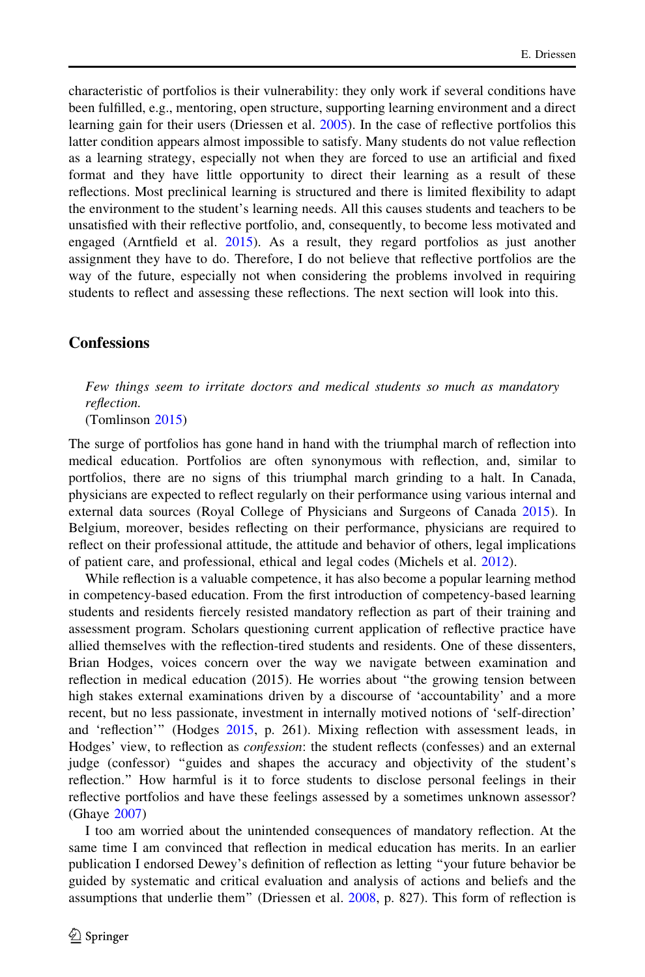characteristic of portfolios is their vulnerability: they only work if several conditions have been fulfilled, e.g., mentoring, open structure, supporting learning environment and a direct learning gain for their users (Driessen et al. [2005\)](#page-6-0). In the case of reflective portfolios this latter condition appears almost impossible to satisfy. Many students do not value reflection as a learning strategy, especially not when they are forced to use an artificial and fixed format and they have little opportunity to direct their learning as a result of these reflections. Most preclinical learning is structured and there is limited flexibility to adapt the environment to the student's learning needs. All this causes students and teachers to be unsatisfied with their reflective portfolio, and, consequently, to become less motivated and engaged (Arntfield et al. [2015\)](#page-6-0). As a result, they regard portfolios as just another assignment they have to do. Therefore, I do not believe that reflective portfolios are the way of the future, especially not when considering the problems involved in requiring students to reflect and assessing these reflections. The next section will look into this.

# **Confessions**

Few things seem to irritate doctors and medical students so much as mandatory reflection. (Tomlinson [2015](#page-7-0))

The surge of portfolios has gone hand in hand with the triumphal march of reflection into medical education. Portfolios are often synonymous with reflection, and, similar to portfolios, there are no signs of this triumphal march grinding to a halt. In Canada, physicians are expected to reflect regularly on their performance using various internal and external data sources (Royal College of Physicians and Surgeons of Canada [2015](#page-6-0)). In Belgium, moreover, besides reflecting on their performance, physicians are required to reflect on their professional attitude, the attitude and behavior of others, legal implications of patient care, and professional, ethical and legal codes (Michels et al. [2012](#page-6-0)).

While reflection is a valuable competence, it has also become a popular learning method in competency-based education. From the first introduction of competency-based learning students and residents fiercely resisted mandatory reflection as part of their training and assessment program. Scholars questioning current application of reflective practice have allied themselves with the reflection-tired students and residents. One of these dissenters, Brian Hodges, voices concern over the way we navigate between examination and reflection in medical education (2015). He worries about ''the growing tension between high stakes external examinations driven by a discourse of 'accountability' and a more recent, but no less passionate, investment in internally motived notions of 'self-direction' and 'reflection''' (Hodges [2015](#page-6-0), p. 261). Mixing reflection with assessment leads, in Hodges' view, to reflection as confession: the student reflects (confesses) and an external judge (confessor) ''guides and shapes the accuracy and objectivity of the student's reflection.'' How harmful is it to force students to disclose personal feelings in their reflective portfolios and have these feelings assessed by a sometimes unknown assessor? (Ghaye [2007\)](#page-6-0)

I too am worried about the unintended consequences of mandatory reflection. At the same time I am convinced that reflection in medical education has merits. In an earlier publication I endorsed Dewey's definition of reflection as letting ''your future behavior be guided by systematic and critical evaluation and analysis of actions and beliefs and the assumptions that underlie them'' (Driessen et al. [2008](#page-6-0), p. 827). This form of reflection is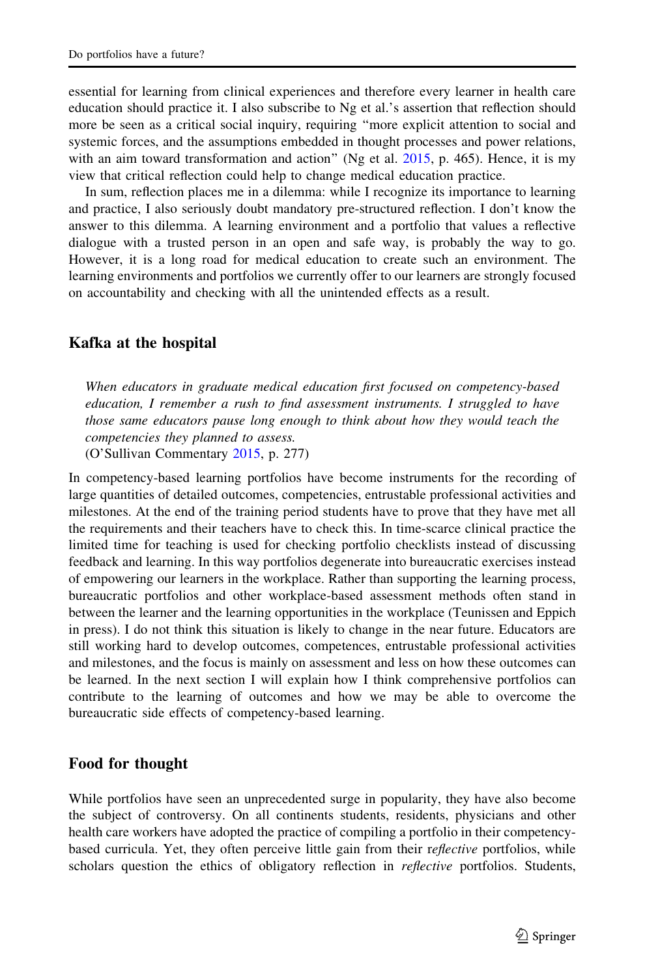essential for learning from clinical experiences and therefore every learner in health care education should practice it. I also subscribe to Ng et al.'s assertion that reflection should more be seen as a critical social inquiry, requiring ''more explicit attention to social and systemic forces, and the assumptions embedded in thought processes and power relations, with an aim toward transformation and action" (Ng et al. [2015,](#page-6-0) p. 465). Hence, it is my view that critical reflection could help to change medical education practice.

In sum, reflection places me in a dilemma: while I recognize its importance to learning and practice, I also seriously doubt mandatory pre-structured reflection. I don't know the answer to this dilemma. A learning environment and a portfolio that values a reflective dialogue with a trusted person in an open and safe way, is probably the way to go. However, it is a long road for medical education to create such an environment. The learning environments and portfolios we currently offer to our learners are strongly focused on accountability and checking with all the unintended effects as a result.

### Kafka at the hospital

When educators in graduate medical education first focused on competency-based education, I remember a rush to find assessment instruments. I struggled to have those same educators pause long enough to think about how they would teach the competencies they planned to assess.

(O'Sullivan Commentary [2015,](#page-6-0) p. 277)

In competency-based learning portfolios have become instruments for the recording of large quantities of detailed outcomes, competencies, entrustable professional activities and milestones. At the end of the training period students have to prove that they have met all the requirements and their teachers have to check this. In time-scarce clinical practice the limited time for teaching is used for checking portfolio checklists instead of discussing feedback and learning. In this way portfolios degenerate into bureaucratic exercises instead of empowering our learners in the workplace. Rather than supporting the learning process, bureaucratic portfolios and other workplace-based assessment methods often stand in between the learner and the learning opportunities in the workplace (Teunissen and Eppich in press). I do not think this situation is likely to change in the near future. Educators are still working hard to develop outcomes, competences, entrustable professional activities and milestones, and the focus is mainly on assessment and less on how these outcomes can be learned. In the next section I will explain how I think comprehensive portfolios can contribute to the learning of outcomes and how we may be able to overcome the bureaucratic side effects of competency-based learning.

### Food for thought

While portfolios have seen an unprecedented surge in popularity, they have also become the subject of controversy. On all continents students, residents, physicians and other health care workers have adopted the practice of compiling a portfolio in their competencybased curricula. Yet, they often perceive little gain from their reflective portfolios, while scholars question the ethics of obligatory reflection in *reflective* portfolios. Students,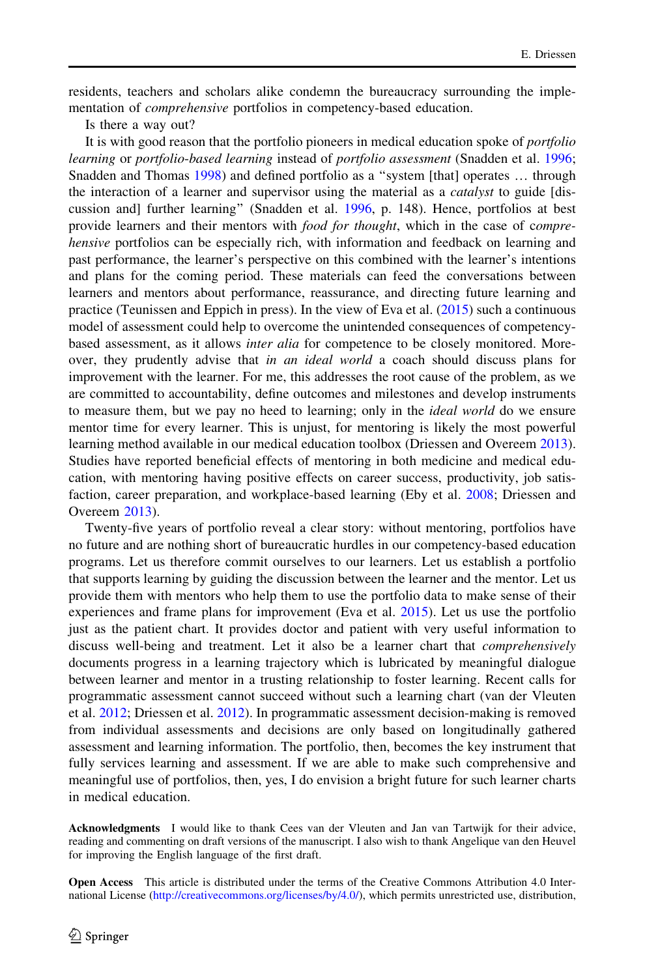residents, teachers and scholars alike condemn the bureaucracy surrounding the implementation of comprehensive portfolios in competency-based education.

Is there a way out?

It is with good reason that the portfolio pioneers in medical education spoke of portfolio learning or portfolio-based learning instead of portfolio assessment (Snadden et al. [1996;](#page-7-0) Snadden and Thomas [1998](#page-7-0)) and defined portfolio as a ''system [that] operates … through the interaction of a learner and supervisor using the material as a *catalyst* to guide [discussion and] further learning'' (Snadden et al. [1996](#page-7-0), p. 148). Hence, portfolios at best provide learners and their mentors with *food for thought*, which in the case of *compre*hensive portfolios can be especially rich, with information and feedback on learning and past performance, the learner's perspective on this combined with the learner's intentions and plans for the coming period. These materials can feed the conversations between learners and mentors about performance, reassurance, and directing future learning and practice (Teunissen and Eppich in press). In the view of Eva et al. ([2015\)](#page-6-0) such a continuous model of assessment could help to overcome the unintended consequences of competencybased assessment, as it allows *inter alia* for competence to be closely monitored. Moreover, they prudently advise that in an ideal world a coach should discuss plans for improvement with the learner. For me, this addresses the root cause of the problem, as we are committed to accountability, define outcomes and milestones and develop instruments to measure them, but we pay no heed to learning; only in the *ideal world* do we ensure mentor time for every learner. This is unjust, for mentoring is likely the most powerful learning method available in our medical education toolbox (Driessen and Overeem [2013](#page-6-0)). Studies have reported beneficial effects of mentoring in both medicine and medical education, with mentoring having positive effects on career success, productivity, job satisfaction, career preparation, and workplace-based learning (Eby et al. [2008;](#page-6-0) Driessen and Overeem [2013\)](#page-6-0).

Twenty-five years of portfolio reveal a clear story: without mentoring, portfolios have no future and are nothing short of bureaucratic hurdles in our competency-based education programs. Let us therefore commit ourselves to our learners. Let us establish a portfolio that supports learning by guiding the discussion between the learner and the mentor. Let us provide them with mentors who help them to use the portfolio data to make sense of their experiences and frame plans for improvement (Eva et al. [2015\)](#page-6-0). Let us use the portfolio just as the patient chart. It provides doctor and patient with very useful information to discuss well-being and treatment. Let it also be a learner chart that comprehensively documents progress in a learning trajectory which is lubricated by meaningful dialogue between learner and mentor in a trusting relationship to foster learning. Recent calls for programmatic assessment cannot succeed without such a learning chart (van der Vleuten et al. [2012;](#page-7-0) Driessen et al. [2012\)](#page-6-0). In programmatic assessment decision-making is removed from individual assessments and decisions are only based on longitudinally gathered assessment and learning information. The portfolio, then, becomes the key instrument that fully services learning and assessment. If we are able to make such comprehensive and meaningful use of portfolios, then, yes, I do envision a bright future for such learner charts in medical education.

Acknowledgments I would like to thank Cees van der Vleuten and Jan van Tartwijk for their advice, reading and commenting on draft versions of the manuscript. I also wish to thank Angelique van den Heuvel for improving the English language of the first draft.

Open Access This article is distributed under the terms of the Creative Commons Attribution 4.0 International License [\(http://creativecommons.org/licenses/by/4.0/\)](http://creativecommons.org/licenses/by/4.0/), which permits unrestricted use, distribution,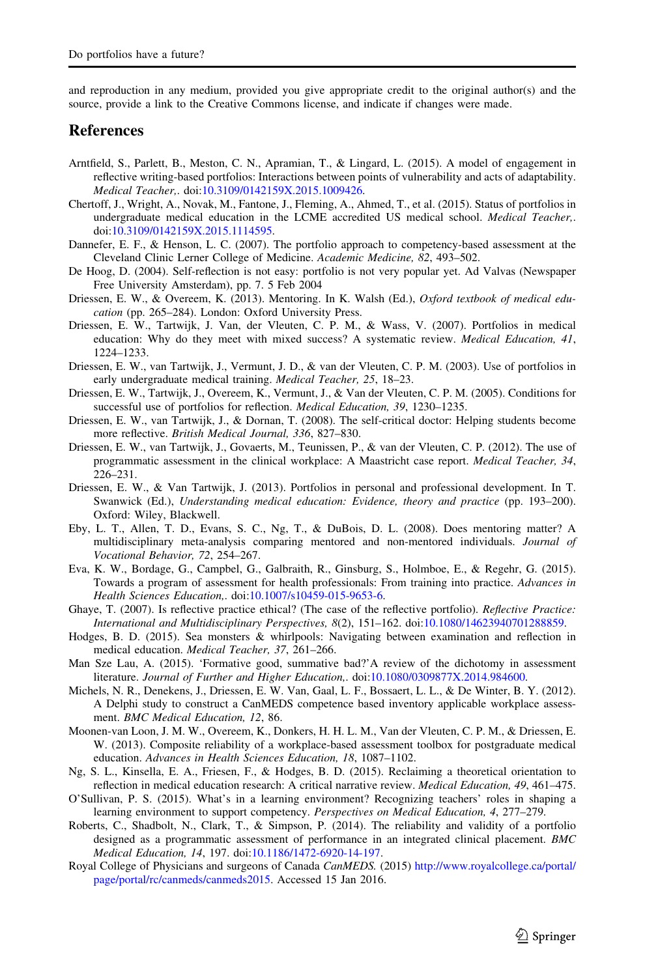<span id="page-6-0"></span>and reproduction in any medium, provided you give appropriate credit to the original author(s) and the source, provide a link to the Creative Commons license, and indicate if changes were made.

#### **References**

- Arntfield, S., Parlett, B., Meston, C. N., Apramian, T., & Lingard, L. (2015). A model of engagement in reflective writing-based portfolios: Interactions between points of vulnerability and acts of adaptability. Medical Teacher,. doi:[10.3109/0142159X.2015.1009426](http://dx.doi.org/10.3109/0142159X.2015.1009426).
- Chertoff, J., Wright, A., Novak, M., Fantone, J., Fleming, A., Ahmed, T., et al. (2015). Status of portfolios in undergraduate medical education in the LCME accredited US medical school. Medical Teacher,. doi[:10.3109/0142159X.2015.1114595](http://dx.doi.org/10.3109/0142159X.2015.1114595).
- Dannefer, E. F., & Henson, L. C. (2007). The portfolio approach to competency-based assessment at the Cleveland Clinic Lerner College of Medicine. Academic Medicine, 82, 493–502.
- De Hoog, D. (2004). Self-reflection is not easy: portfolio is not very popular yet. Ad Valvas (Newspaper Free University Amsterdam), pp. 7. 5 Feb 2004
- Driessen, E. W., & Overeem, K. (2013). Mentoring. In K. Walsh (Ed.), Oxford textbook of medical education (pp. 265–284). London: Oxford University Press.
- Driessen, E. W., Tartwijk, J. Van, der Vleuten, C. P. M., & Wass, V. (2007). Portfolios in medical education: Why do they meet with mixed success? A systematic review. Medical Education, 41, 1224–1233.
- Driessen, E. W., van Tartwijk, J., Vermunt, J. D., & van der Vleuten, C. P. M. (2003). Use of portfolios in early undergraduate medical training. Medical Teacher, 25, 18–23.
- Driessen, E. W., Tartwijk, J., Overeem, K., Vermunt, J., & Van der Vleuten, C. P. M. (2005). Conditions for successful use of portfolios for reflection. Medical Education, 39, 1230–1235.
- Driessen, E. W., van Tartwijk, J., & Dornan, T. (2008). The self-critical doctor: Helping students become more reflective. British Medical Journal, 336, 827–830.
- Driessen, E. W., van Tartwijk, J., Govaerts, M., Teunissen, P., & van der Vleuten, C. P. (2012). The use of programmatic assessment in the clinical workplace: A Maastricht case report. Medical Teacher, 34, 226–231.
- Driessen, E. W., & Van Tartwijk, J. (2013). Portfolios in personal and professional development. In T. Swanwick (Ed.), Understanding medical education: Evidence, theory and practice (pp. 193–200). Oxford: Wiley, Blackwell.
- Eby, L. T., Allen, T. D., Evans, S. C., Ng, T., & DuBois, D. L. (2008). Does mentoring matter? A multidisciplinary meta-analysis comparing mentored and non-mentored individuals. Journal of Vocational Behavior, 72, 254–267.
- Eva, K. W., Bordage, G., Campbel, G., Galbraith, R., Ginsburg, S., Holmboe, E., & Regehr, G. (2015). Towards a program of assessment for health professionals: From training into practice. Advances in Health Sciences Education,. doi[:10.1007/s10459-015-9653-6.](http://dx.doi.org/10.1007/s10459-015-9653-6)
- Ghaye, T. (2007). Is reflective practice ethical? (The case of the reflective portfolio). Reflective Practice: International and Multidisciplinary Perspectives, 8(2), 151–162. doi:[10.1080/14623940701288859](http://dx.doi.org/10.1080/14623940701288859).
- Hodges, B. D. (2015). Sea monsters & whirlpools: Navigating between examination and reflection in medical education. Medical Teacher, 37, 261–266.
- Man Sze Lau, A. (2015). 'Formative good, summative bad?'A review of the dichotomy in assessment literature. Journal of Further and Higher Education,. doi:[10.1080/0309877X.2014.984600.](http://dx.doi.org/10.1080/0309877X.2014.984600)
- Michels, N. R., Denekens, J., Driessen, E. W. Van, Gaal, L. F., Bossaert, L. L., & De Winter, B. Y. (2012). A Delphi study to construct a CanMEDS competence based inventory applicable workplace assessment. BMC Medical Education, 12, 86.
- Moonen-van Loon, J. M. W., Overeem, K., Donkers, H. H. L. M., Van der Vleuten, C. P. M., & Driessen, E. W. (2013). Composite reliability of a workplace-based assessment toolbox for postgraduate medical education. Advances in Health Sciences Education, 18, 1087–1102.
- Ng, S. L., Kinsella, E. A., Friesen, F., & Hodges, B. D. (2015). Reclaiming a theoretical orientation to reflection in medical education research: A critical narrative review. Medical Education, 49, 461–475.
- O'Sullivan, P. S. (2015). What's in a learning environment? Recognizing teachers' roles in shaping a learning environment to support competency. Perspectives on Medical Education, 4, 277-279.
- Roberts, C., Shadbolt, N., Clark, T., & Simpson, P. (2014). The reliability and validity of a portfolio designed as a programmatic assessment of performance in an integrated clinical placement. BMC Medical Education, 14, 197. doi:[10.1186/1472-6920-14-197](http://dx.doi.org/10.1186/1472-6920-14-197).
- Royal College of Physicians and surgeons of Canada CanMEDS. (2015) [http://www.royalcollege.ca/portal/](http://www.royalcollege.ca/portal/page/portal/rc/canmeds/canmeds2015) [page/portal/rc/canmeds/canmeds2015](http://www.royalcollege.ca/portal/page/portal/rc/canmeds/canmeds2015). Accessed 15 Jan 2016.